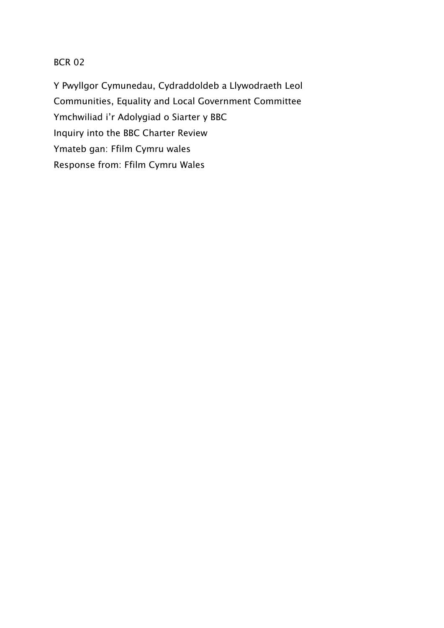# BCR 02

Y Pwyllgor Cymunedau, Cydraddoldeb a Llywodraeth Leol Communities, Equality and Local Government Committee Ymchwiliad i'r Adolygiad o Siarter y BBC Inquiry into the BBC Charter Review Ymateb gan: Ffilm Cymru wales Response from: Ffilm Cymru Wales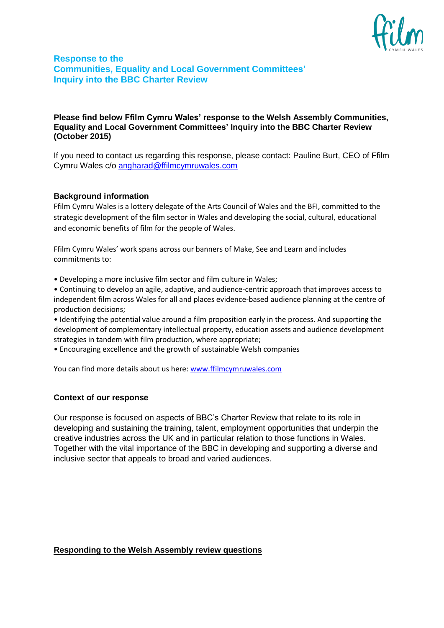

# **Response to the [Communities, Equality and Local Government Committees](http://www.senedd.assembly.wales/mgCommitteeDetails.aspx?ID=226)' [Inquiry into the BBC Charter Review](http://www.senedd.assembly.wales/mgIssueHistoryHome.aspx?IId=13600&AIID=24622)**

## **Please find below Ffilm Cymru Wales' response to the Welsh Assembly [Communities,](http://www.senedd.assembly.wales/mgCommitteeDetails.aspx?ID=226)  [Equality and Local Government Committees](http://www.senedd.assembly.wales/mgCommitteeDetails.aspx?ID=226)' [Inquiry into the BBC Charter Review](http://www.senedd.assembly.wales/mgIssueHistoryHome.aspx?IId=13600&AIID=24622) (October 2015)**

If you need to contact us regarding this response, please contact: Pauline Burt, CEO of Ffilm Cymru Wales c/o [angharad@ffilmcymruwales.com](mailto:angharad@ffilmcymruwales.com) 

## **Background information**

Ffilm Cymru Wales is a lottery delegate of the Arts Council of Wales and the BFI, committed to the strategic development of the film sector in Wales and developing the social, cultural, educational and economic benefits of film for the people of Wales.

Ffilm Cymru Wales' work spans across our banners of Make, See and Learn and includes commitments to:

• Developing a more inclusive film sector and film culture in Wales;

• Continuing to develop an agile, adaptive, and audience-centric approach that improves access to independent film across Wales for all and places evidence-based audience planning at the centre of production decisions;

• Identifying the potential value around a film proposition early in the process. And supporting the development of complementary intellectual property, education assets and audience development strategies in tandem with film production, where appropriate;

• Encouraging excellence and the growth of sustainable Welsh companies

You can find more details about us here: [www.ffilmcymruwales.com](http://www.ffilmcymruwales.com/)

## **Context of our response**

Our response is focused on aspects of BBC's Charter Review that relate to its role in developing and sustaining the training, talent, employment opportunities that underpin the creative industries across the UK and in particular relation to those functions in Wales. Together with the vital importance of the BBC in developing and supporting a diverse and inclusive sector that appeals to broad and varied audiences.

#### **Responding to the Welsh Assembly review questions**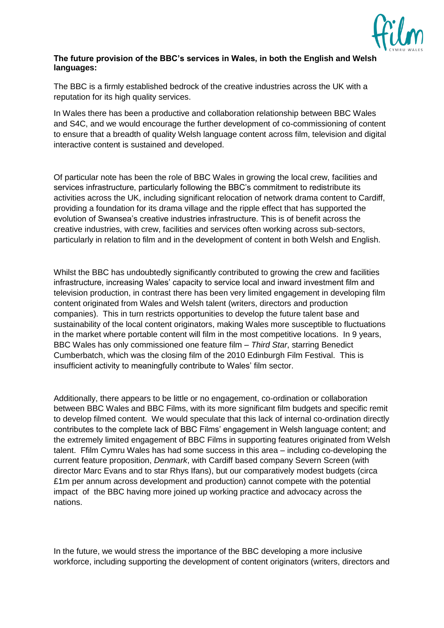

# **The future provision of the BBC's services in Wales, in both the English and Welsh languages:**

The BBC is a firmly established bedrock of the creative industries across the UK with a reputation for its high quality services.

In Wales there has been a productive and collaboration relationship between BBC Wales and S4C, and we would encourage the further development of co-commissioning of content to ensure that a breadth of quality Welsh language content across film, television and digital interactive content is sustained and developed.

Of particular note has been the role of BBC Wales in growing the local crew, facilities and services infrastructure, particularly following the BBC's commitment to redistribute its activities across the UK, including significant relocation of network drama content to Cardiff, providing a foundation for its drama village and the ripple effect that has supported the evolution of Swansea's creative industries infrastructure. This is of benefit across the creative industries, with crew, facilities and services often working across sub-sectors, particularly in relation to film and in the development of content in both Welsh and English.

Whilst the BBC has undoubtedly significantly contributed to growing the crew and facilities infrastructure, increasing Wales' capacity to service local and inward investment film and television production, in contrast there has been very limited engagement in developing film content originated from Wales and Welsh talent (writers, directors and production companies). This in turn restricts opportunities to develop the future talent base and sustainability of the local content originators, making Wales more susceptible to fluctuations in the market where portable content will film in the most competitive locations. In 9 years, BBC Wales has only commissioned one feature film – *Third Star*, starring Benedict Cumberbatch, which was the closing film of the 2010 Edinburgh Film Festival. This is insufficient activity to meaningfully contribute to Wales' film sector.

Additionally, there appears to be little or no engagement, co-ordination or collaboration between BBC Wales and BBC Films, with its more significant film budgets and specific remit to develop filmed content. We would speculate that this lack of internal co-ordination directly contributes to the complete lack of BBC Films' engagement in Welsh language content; and the extremely limited engagement of BBC Films in supporting features originated from Welsh talent. Ffilm Cymru Wales has had some success in this area – including co-developing the current feature proposition, *Denmark*, with Cardiff based company Severn Screen (with director Marc Evans and to star Rhys Ifans), but our comparatively modest budgets (circa £1m per annum across development and production) cannot compete with the potential impact of the BBC having more joined up working practice and advocacy across the nations.

In the future, we would stress the importance of the BBC developing a more inclusive workforce, including supporting the development of content originators (writers, directors and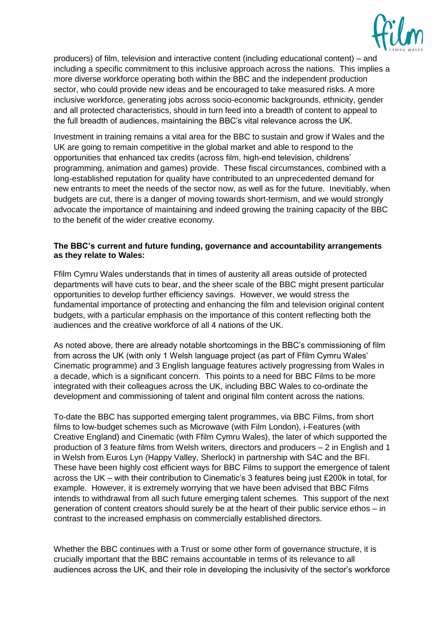

producers) of film, television and interactive content (including educational content) – and including a specific commitment to this inclusive approach across the nations. This implies a more diverse workforce operating both within the BBC and the independent production sector, who could provide new ideas and be encouraged to take measured risks. A more inclusive workforce, generating jobs across socio-economic backgrounds, ethnicity, gender and all protected characteristics, should in turn feed into a breadth of content to appeal to the full breadth of audiences, maintaining the BBC's vital relevance across the UK.

Investment in training remains a vital area for the BBC to sustain and grow if Wales and the UK are going to remain competitive in the global market and able to respond to the opportunities that enhanced tax credits (across film, high-end television, childrens' programming, animation and games) provide. These fiscal circumstances, combined with a long-established reputation for quality have contributed to an unprecedented demand for new entrants to meet the needs of the sector now, as well as for the future. Inevitiably, when budgets are cut, there is a danger of moving towards short-termism, and we would strongly advocate the importance of maintaining and indeed growing the training capacity of the BBC to the benefit of the wider creative economy.

## **The BBC's current and future funding, governance and accountability arrangements as they relate to Wales:**

Ffilm Cymru Wales understands that in times of austerity all areas outside of protected departments will have cuts to bear, and the sheer scale of the BBC might present particular opportunities to develop further efficiency savings. However, we would stress the fundamental importance of protecting and enhancing the film and television original content budgets, with a particular emphasis on the importance of this content reflecting both the audiences and the creative workforce of all 4 nations of the UK.

As noted above, there are already notable shortcomings in the BBC's commissioning of film from across the UK (with only 1 Welsh language project (as part of Ffilm Cymru Wales' Cinematic programme) and 3 English language features actively progressing from Wales in a decade, which is a significant concern. This points to a need for BBC Films to be more integrated with their colleagues across the UK, including BBC Wales to co-ordinate the development and commissioning of talent and original film content across the nations.

To-date the BBC has supported emerging talent programmes, via BBC Films, from short films to low-budget schemes such as Microwave (with Film London), i-Features (with Creative England) and Cinematic (with Ffilm Cymru Wales), the later of which supported the production of 3 feature films from Welsh writers, directors and producers – 2 in English and 1 in Welsh from Euros Lyn (Happy Valley, Sherlock) in partnership with S4C and the BFI. These have been highly cost efficient ways for BBC Films to support the emergence of talent across the UK – with their contribution to Cinematic's 3 features being just £200k in total, for example. However, it is extremely worrying that we have been advised that BBC Films intends to withdrawal from all such future emerging talent schemes. This support of the next generation of content creators should surely be at the heart of their public service ethos – in contrast to the increased emphasis on commercially established directors.

Whether the BBC continues with a Trust or some other form of governance structure, it is crucially important that the BBC remains accountable in terms of its relevance to all audiences across the UK, and their role in developing the inclusivity of the sector's workforce